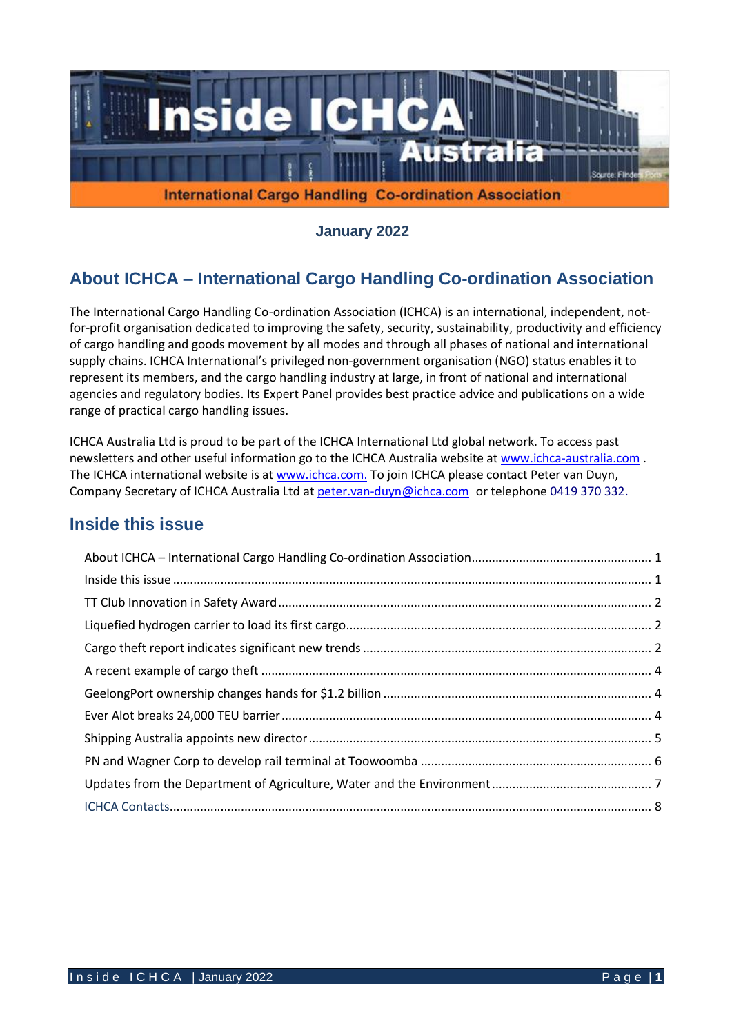

**January 2022**

# **About ICHCA – International Cargo Handling Co-ordination Association**

The International Cargo Handling Co-ordination Association (ICHCA) is an international, independent, notfor-profit organisation dedicated to improving the safety, security, sustainability, productivity and efficiency of cargo handling and goods movement by all modes and through all phases of national and international supply chains. ICHCA International's privileged non-government organisation (NGO) status enables it to represent its members, and the cargo handling industry at large, in front of national and international agencies and regulatory bodies. Its Expert Panel provides best practice advice and publications on a wide range of practical cargo handling issues.

ICHCA Australia Ltd is proud to be part of the ICHCA International Ltd global network. To access past newsletters and other useful information go to the ICHCA Australia website at [www.ichca-australia.com](http://www.ichca-australia.com/) . The ICHCA international website is at [www.ichca.com.](http://www.ichca.com/) To join ICHCA please contact Peter van Duyn, Company Secretary of ICHCA Australia Ltd at [peter.van-duyn@ichca.com](mailto:peter.vanduijn@deakin.edu.au) or telephone 0419 370 332.

## **Inside this issue**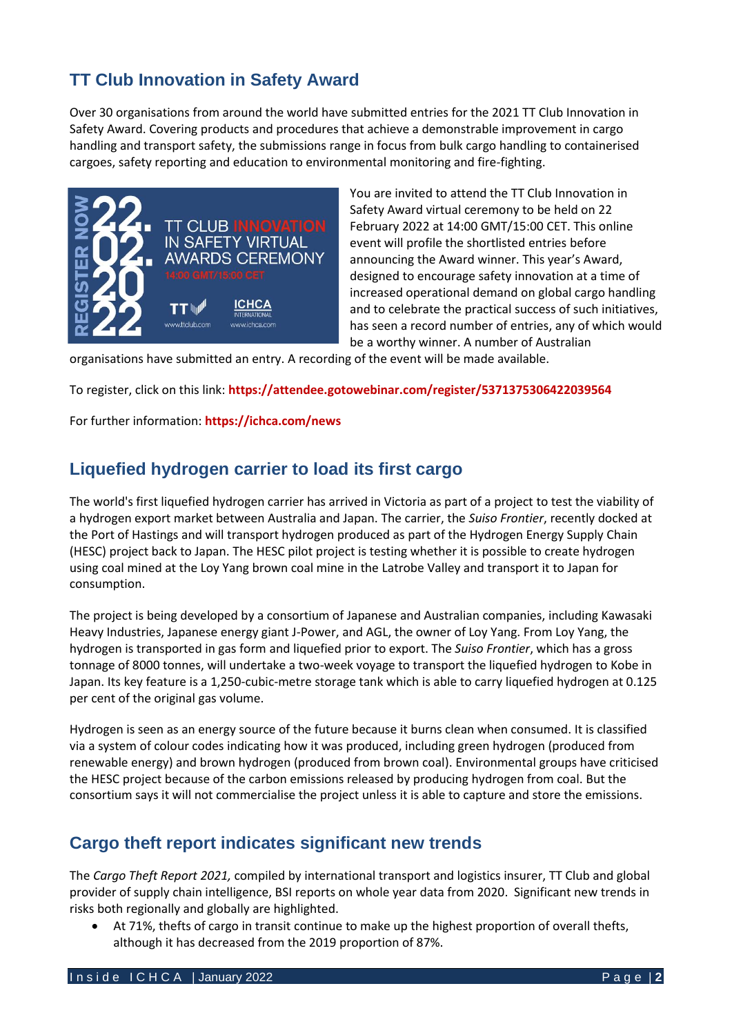# **TT Club Innovation in Safety Award**

Over 30 organisations from around the world have submitted entries for the 2021 TT Club Innovation in Safety Award. Covering products and procedures that achieve a demonstrable improvement in cargo handling and transport safety, the submissions range in focus from bulk cargo handling to containerised cargoes, safety reporting and education to environmental monitoring and fire-fighting.



You are invited to attend the TT Club Innovation in Safety Award virtual ceremony to be held on 22 February 2022 at 14:00 GMT/15:00 CET. This online event will profile the shortlisted entries before announcing the Award winner. This year's Award, designed to encourage safety innovation at a time of increased operational demand on global cargo handling and to celebrate the practical success of such initiatives, has seen a record number of entries, any of which would be a worthy winner. A number of Australian

organisations have submitted an entry. A recording of the event will be made available.

To register, click on this link: **<https://attendee.gotowebinar.com/register/5371375306422039564>**

For further information: **<https://ichca.com/news>**

## **Liquefied hydrogen carrier to load its first cargo**

The world's first liquefied hydrogen carrier has arrived in Victoria as part of a project to test the viability of a hydrogen export market between Australia and Japan. The carrier, the *Suiso Frontier*, recently docked at the Port of Hastings and will transport hydrogen produced as part of the Hydrogen Energy Supply Chain (HESC) project back to Japan. The HESC pilot project is testing whether it is possible to create hydrogen using coal mined at the Loy Yang brown coal mine in the Latrobe Valley and transport it to Japan for consumption.

The project is being developed by a consortium of Japanese and Australian companies, including Kawasaki Heavy Industries, Japanese energy giant J-Power, and AGL, the owner of Loy Yang. From Loy Yang, the hydrogen is transported in gas form and liquefied prior to export. The *Suiso Frontier*, which has a gross tonnage of 8000 tonnes, will undertake a two-week voyage to transport the liquefied hydrogen to Kobe in Japan. Its key feature is a 1,250-cubic-metre storage tank which is able to carry liquefied hydrogen at 0.125 per cent of the original gas volume.

Hydrogen is seen as an energy source of the future because it burns clean when consumed. It is classified via a system of colour codes indicating how it was produced, including green hydrogen (produced from renewable energy) and brown hydrogen (produced from brown coal). Environmental groups have criticised the HESC project because of the carbon emissions released by producing hydrogen from coal. But the consortium says it will not commercialise the project unless it is able to capture and store the emissions.

## **Cargo theft report indicates significant new trends**

The *Cargo Theft Report 2021,* compiled by international transport and logistics insurer, TT Club and global provider of supply chain intelligence, BSI reports on whole year data from 2020. Significant new trends in risks both regionally and globally are highlighted.

At 71%, thefts of cargo in transit continue to make up the highest proportion of overall thefts, although it has decreased from the 2019 proportion of 87%.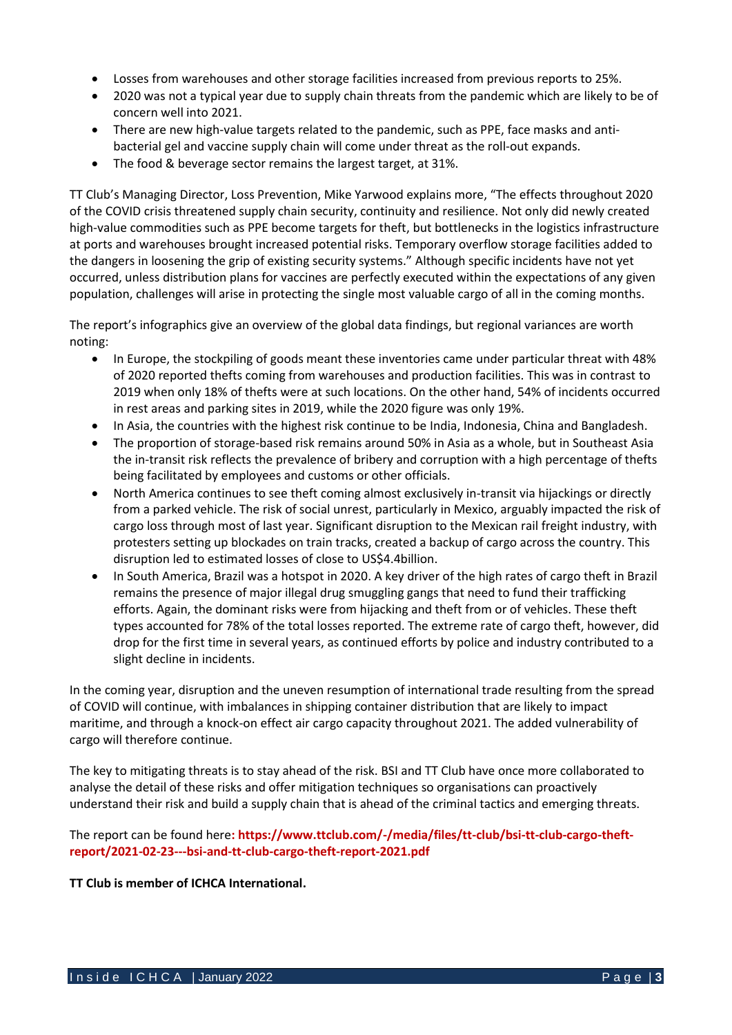- Losses from warehouses and other storage facilities increased from previous reports to 25%.
- 2020 was not a typical year due to supply chain threats from the pandemic which are likely to be of concern well into 2021.
- There are new high-value targets related to the pandemic, such as PPE, face masks and antibacterial gel and vaccine supply chain will come under threat as the roll-out expands.
- The food & beverage sector remains the largest target, at 31%.

TT Club's Managing Director, Loss Prevention, Mike Yarwood explains more, "The effects throughout 2020 of the COVID crisis threatened supply chain security, continuity and resilience. Not only did newly created high-value commodities such as PPE become targets for theft, but bottlenecks in the logistics infrastructure at ports and warehouses brought increased potential risks. Temporary overflow storage facilities added to the dangers in loosening the grip of existing security systems." Although specific incidents have not yet occurred, unless distribution plans for vaccines are perfectly executed within the expectations of any given population, challenges will arise in protecting the single most valuable cargo of all in the coming months.

The report's infographics give an overview of the global data findings, but regional variances are worth noting:

- In Europe, the stockpiling of goods meant these inventories came under particular threat with 48% of 2020 reported thefts coming from warehouses and production facilities. This was in contrast to 2019 when only 18% of thefts were at such locations. On the other hand, 54% of incidents occurred in rest areas and parking sites in 2019, while the 2020 figure was only 19%.
- In Asia, the countries with the highest risk continue to be India, Indonesia, China and Bangladesh.
- The proportion of storage-based risk remains around 50% in Asia as a whole, but in Southeast Asia the in-transit risk reflects the prevalence of bribery and corruption with a high percentage of thefts being facilitated by employees and customs or other officials.
- North America continues to see theft coming almost exclusively in-transit via hijackings or directly from a parked vehicle. The risk of social unrest, particularly in Mexico, arguably impacted the risk of cargo loss through most of last year. Significant disruption to the Mexican rail freight industry, with protesters setting up blockades on train tracks, created a backup of cargo across the country. This disruption led to estimated losses of close to US\$4.4billion.
- In South America, Brazil was a hotspot in 2020. A key driver of the high rates of cargo theft in Brazil remains the presence of major illegal drug smuggling gangs that need to fund their trafficking efforts. Again, the dominant risks were from hijacking and theft from or of vehicles. These theft types accounted for 78% of the total losses reported. The extreme rate of cargo theft, however, did drop for the first time in several years, as continued efforts by police and industry contributed to a slight decline in incidents.

In the coming year, disruption and the uneven resumption of international trade resulting from the spread of COVID will continue, with imbalances in shipping container distribution that are likely to impact maritime, and through a knock-on effect air cargo capacity throughout 2021. The added vulnerability of cargo will therefore continue.

The key to mitigating threats is to stay ahead of the risk. BSI and TT Club have once more collaborated to analyse the detail of these risks and offer mitigation techniques so organisations can proactively understand their risk and build a supply chain that is ahead of the criminal tactics and emerging threats.

The report can be found here**: [https://www.ttclub.com/-/media/files/tt-club/bsi-tt-club-cargo-theft](https://www.ttclub.com/-/media/files/tt-club/bsi-tt-club-cargo-theft-report/2021-02-23---bsi-and-tt-club-cargo-theft-report-2021.pdf)[report/2021-02-23---bsi-and-tt-club-cargo-theft-report-2021.pdf](https://www.ttclub.com/-/media/files/tt-club/bsi-tt-club-cargo-theft-report/2021-02-23---bsi-and-tt-club-cargo-theft-report-2021.pdf)**

**TT Club is member of ICHCA International.**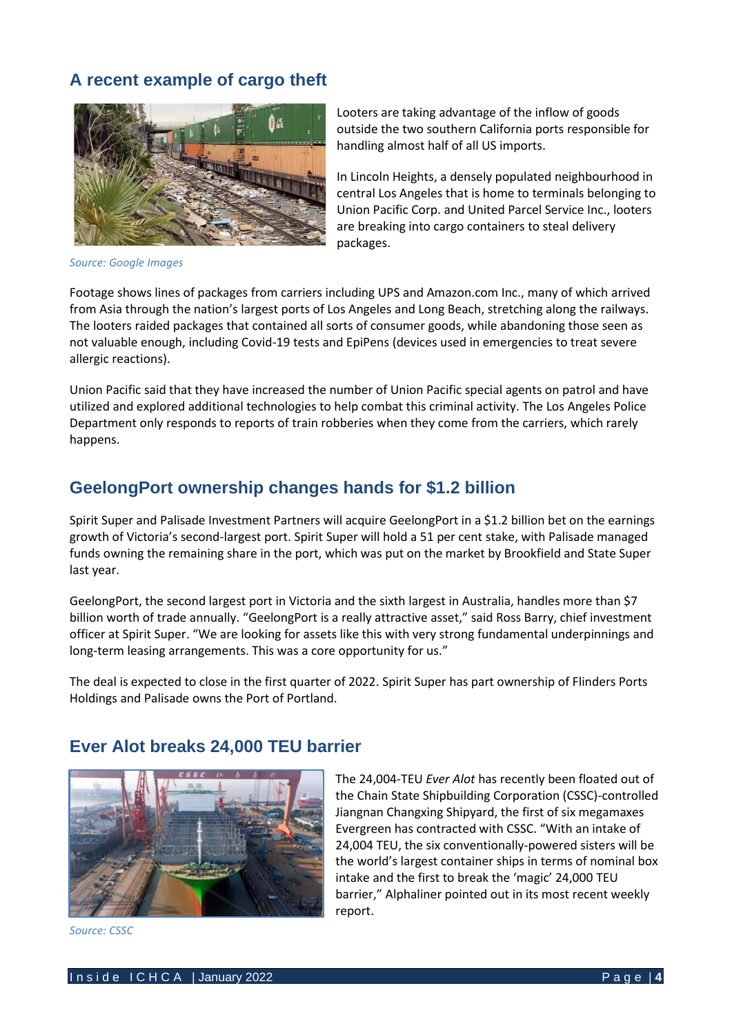# **A recent example of cargo theft**



*Source: Google Images*

Looters are taking advantage of the inflow of goods outside the two southern California ports responsible for handling almost half of all US imports.

In Lincoln Heights, a densely populated neighbourhood in central Los Angeles that is home to terminals belonging to [Union Pacific Corp.](https://gcaptain.com/union-pacific-to-resume-rail-service-from-west-coast-ports-on-schedule/) and United Parcel Service Inc., looters are breaking into cargo containers to steal delivery packages.

Footage shows lines of packages from carriers including UPS and Amazon.com Inc., many of which arrived from Asia through the [nation's largest ports of Los Angeles and Long Beach](https://gcaptain.com/port-of-los-angeles-extends-dwell-fee-threat-for-ocean-carriers/), stretching along the railways. The looters raided packages that contained all sorts of consumer goods, while abandoning those seen as not valuable enough, including Covid-19 tests and EpiPens (devices used in emergencies to treat severe allergic reactions).

Union Pacific said that they have increased the number of Union Pacific special agents on patrol and have utilized and explored additional technologies to help combat this criminal activity. The Los Angeles Police Department only responds to reports of train robberies when they come from the carriers, which rarely happens.

### **GeelongPort ownership changes hands for \$1.2 billion**

Spirit Super and Palisade Investment Partners will acquire GeelongPort in a \$1.2 billion bet on the earnings growth of Victoria's second-largest port. Spirit Super will hold a 51 per cent stake, with Palisade managed funds owning the remaining share in the port, which was put on the market by Brookfield and State Super last year.

GeelongPort, the second largest port in Victoria and the sixth largest in Australia, handles more than \$7 billion worth of trade annually. "GeelongPort is a really attractive asset," said Ross Barry, chief investment officer at Spirit Super. "We are looking for assets like this with very strong fundamental underpinnings and long-term leasing arrangements. This was a core opportunity for us."

The deal is expected to close in the first quarter of 2022. Spirit Super has part ownership of Flinders Ports Holdings and Palisade owns the Port of Portland.



*Source: CSSC*

### **Ever Alot breaks 24,000 TEU barrier**

The 24,004-TEU *Ever Alot* has recently been floated out of the Chain State Shipbuilding Corporation (CSSC)-controlled Jiangnan Changxing Shipyard, the first of six megamaxes Evergreen has contracted with CSSC. "With an intake of 24,004 TEU, the six conventionally-powered sisters will be the world's largest container ships in terms of nominal box intake and the first to break the 'magic' 24,000 TEU barrier," Alphaliner pointed out in its most recent weekly report.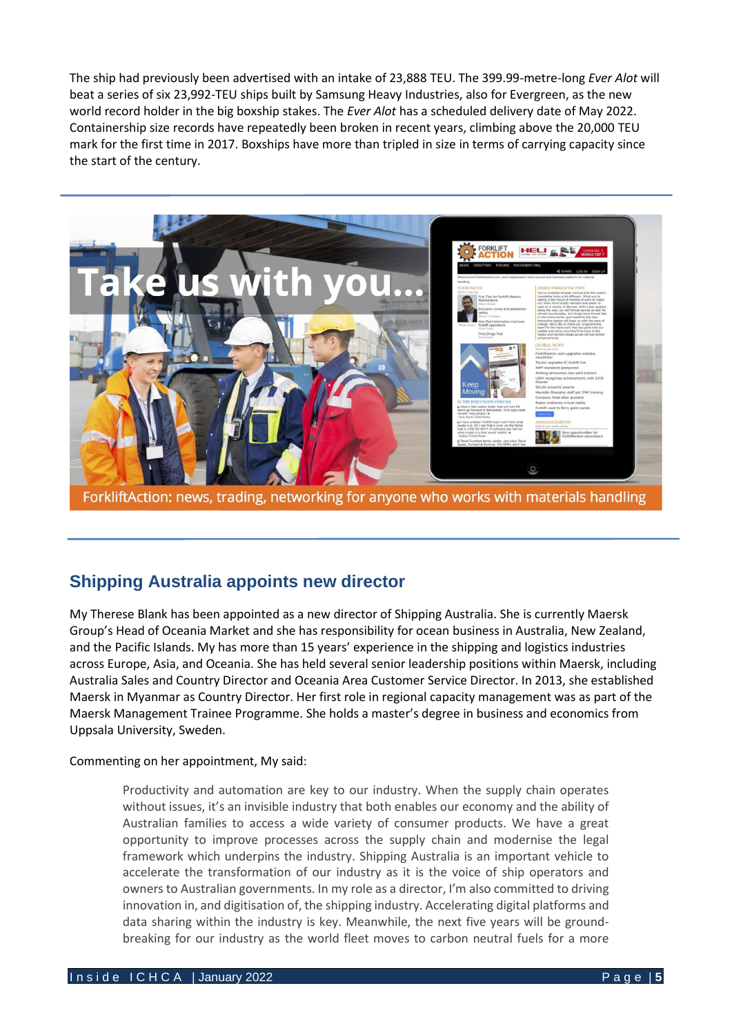The ship had previously been advertised with an intake of 23,888 TEU. The 399.99-metre-long *Ever Alot* will beat a series of six 23,992-TEU ships built by Samsung Heavy Industries, also for Evergreen, as the new world record holder in the big boxship stakes. The *Ever Alot* has a scheduled delivery date of May 2022. Containership size records have repeatedly been broken in recent years, climbing above the 20,000 TEU mark for the first time in 2017. Boxships have more than tripled in size in terms of carrying capacity since the start of the century.



# **Shipping Australia appoints new director**

My Therese Blank has been appointed as a new director of Shipping Australia. She is currently Maersk Group's Head of Oceania Market and she has responsibility for ocean business in Australia, New Zealand, and the Pacific Islands. My has more than 15 years' experience in the shipping and logistics industries across Europe, Asia, and Oceania. She has held several senior leadership positions within Maersk, including Australia Sales and Country Director and Oceania Area Customer Service Director. In 2013, she established Maersk in Myanmar as Country Director. Her first role in regional capacity management was as part of the Maersk Management Trainee Programme. She holds a master's degree in business and economics from Uppsala University, Sweden.

Commenting on her appointment, My said:

Productivity and automation are key to our industry. When the supply chain operates without issues, it's an invisible industry that both enables our economy and the ability of Australian families to access a wide variety of consumer products. We have a great opportunity to improve processes across the supply chain and modernise the legal framework which underpins the industry. Shipping Australia is an important vehicle to accelerate the transformation of our industry as it is the voice of ship operators and owners to Australian governments. In my role as a director, I'm also committed to driving innovation in, and digitisation of, the shipping industry. Accelerating digital platforms and data sharing within the industry is key. Meanwhile, the next five years will be groundbreaking for our industry as the world fleet moves to carbon neutral fuels for a more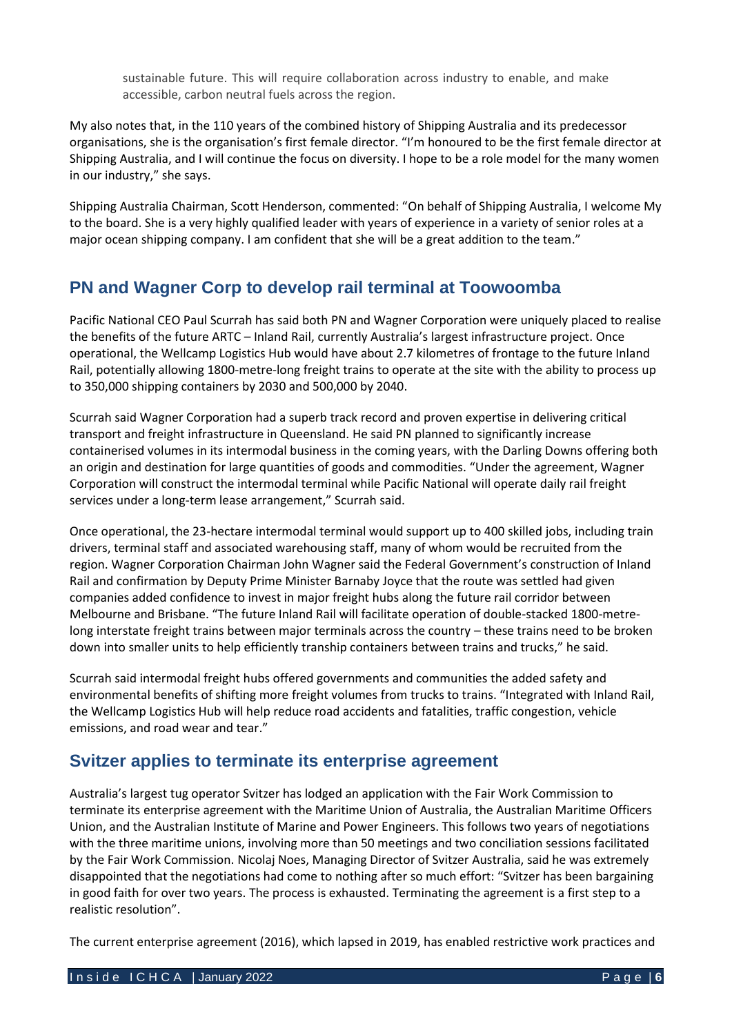sustainable future. This will require collaboration across industry to enable, and make accessible, carbon neutral fuels across the region.

My also notes that, in the 110 years of the combined history of Shipping Australia and its predecessor organisations, she is the organisation's first female director. "I'm honoured to be the first female director at Shipping Australia, and I will continue the focus on diversity. I hope to be a role model for the many women in our industry," she says.

Shipping Australia Chairman, Scott Henderson, commented: "On behalf of Shipping Australia, I welcome My to the board. She is a very highly qualified leader with years of experience in a variety of senior roles at a major ocean shipping company. I am confident that she will be a great addition to the team."

## **PN and Wagner Corp to develop rail terminal at Toowoomba**

Pacific National CEO Paul Scurrah has said both PN and Wagner Corporation were uniquely placed to realise the benefits of the future ARTC – Inland Rail, currently Australia's largest infrastructure project. Once operational, the Wellcamp Logistics Hub would have about 2.7 kilometres of frontage to the future Inland Rail, potentially allowing 1800-metre-long freight trains to operate at the site with the ability to process up to 350,000 shipping containers by 2030 and 500,000 by 2040.

Scurrah said Wagner Corporation had a superb track record and proven expertise in delivering critical transport and freight infrastructure in Queensland. He said PN planned to significantly increase containerised volumes in its intermodal business in the coming years, with the Darling Downs offering both an origin and destination for large quantities of goods and commodities. "Under the agreement, Wagner Corporation will construct the intermodal terminal while Pacific National will operate daily rail freight services under a long-term lease arrangement," Scurrah said.

Once operational, the 23-hectare intermodal terminal would support up to 400 skilled jobs, including train drivers, terminal staff and associated warehousing staff, many of whom would be recruited from the region. Wagner Corporation Chairman John Wagner said the Federal Government's construction of Inland Rail and confirmation by Deputy Prime Minister Barnaby Joyce that the route was settled had given companies added confidence to invest in major freight hubs along the future rail corridor between Melbourne and Brisbane. "The future Inland Rail will facilitate operation of double-stacked 1800-metrelong interstate freight trains between major terminals across the country – these trains need to be broken down into smaller units to help efficiently tranship containers between trains and trucks," he said.

Scurrah said intermodal freight hubs offered governments and communities the added safety and environmental benefits of shifting more freight volumes from trucks to trains. "Integrated with Inland Rail, the Wellcamp Logistics Hub will help reduce road accidents and fatalities, traffic congestion, vehicle emissions, and road wear and tear."

## **Svitzer applies to terminate its enterprise agreement**

Australia's largest tug operator Svitzer has lodged an application with the Fair Work Commission to terminate its enterprise agreement with the Maritime Union of Australia, the Australian Maritime Officers Union, and the Australian Institute of Marine and Power Engineers. This follows two years of negotiations with the three maritime unions, involving more than 50 meetings and two conciliation sessions facilitated by the Fair Work Commission. Nicolaj Noes, Managing Director of Svitzer Australia, said he was extremely disappointed that the negotiations had come to nothing after so much effort: "Svitzer has been bargaining in good faith for over two years. The process is exhausted. Terminating the agreement is a first step to a realistic resolution".

The current enterprise agreement (2016), which lapsed in 2019, has enabled restrictive work practices and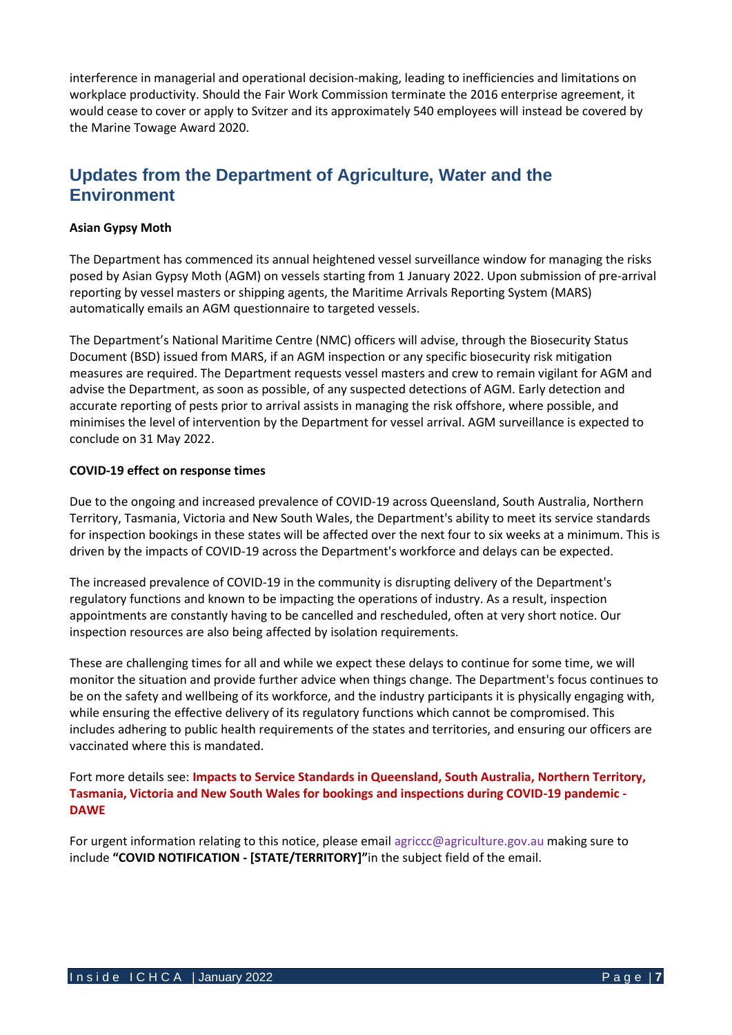interference in managerial and operational decision-making, leading to inefficiencies and limitations on workplace productivity. Should the Fair Work Commission terminate the 2016 enterprise agreement, it would cease to cover or apply to Svitzer and its approximately 540 employees will instead be covered by the Marine Towage Award 2020.

## **Updates from the Department of Agriculture, Water and the Environment**

#### **Asian Gypsy Moth**

The Department has commenced its annual heightened vessel surveillance window for managing the risks posed by Asian Gypsy Moth (AGM) on vessels starting from 1 January 2022. Upon submission of pre-arrival reporting by vessel masters or shipping agents, the Maritime Arrivals Reporting System (MARS) automatically emails an AGM questionnaire to targeted vessels.

The Department's National Maritime Centre (NMC) officers will advise, through the Biosecurity Status Document (BSD) issued from MARS, if an AGM inspection or any specific biosecurity risk mitigation measures are required. The Department requests vessel masters and crew to remain vigilant for AGM and advise the Department, as soon as possible, of any suspected detections of AGM. Early detection and accurate reporting of pests prior to arrival assists in managing the risk offshore, where possible, and minimises the level of intervention by the Department for vessel arrival. AGM surveillance is expected to conclude on 31 May 2022.

#### **COVID-19 effect on response times**

Due to the ongoing and increased prevalence of COVID-19 across Queensland, South Australia, Northern Territory, Tasmania, Victoria and New South Wales, the Department's ability to meet its service standards for inspection bookings in these states will be affected over the next four to six weeks at a minimum. This is driven by the impacts of COVID-19 across the Department's workforce and delays can be expected.

The increased prevalence of COVID-19 in the community is disrupting delivery of the Department's regulatory functions and known to be impacting the operations of industry. As a result, inspection appointments are constantly having to be cancelled and rescheduled, often at very short notice. Our inspection resources are also being affected by isolation requirements.

These are challenging times for all and while we expect these delays to continue for some time, we will monitor the situation and provide further advice when things change. The Department's focus continues to be on the safety and wellbeing of its workforce, and the industry participants it is physically engaging with, while ensuring the effective delivery of its regulatory functions which cannot be compromised. This includes adhering to public health requirements of the states and territories, and ensuring our officers are vaccinated where this is mandated.

Fort more details see: **[Impacts to Service Standards in Queensland, South Australia,](https://www.awe.gov.au/biosecurity-trade/import/industry-advice/2022/06-2022) Northern Territory, [Tasmania, Victoria and New South Wales for bookings and inspections during COVID-19 pandemic -](https://www.awe.gov.au/biosecurity-trade/import/industry-advice/2022/06-2022) [DAWE](https://www.awe.gov.au/biosecurity-trade/import/industry-advice/2022/06-2022)**

For urgent information relating to this notice, please emai[l agriccc@agriculture.gov.au](mailto:agriccc@agriculture.gov.au) making sure to include **"COVID NOTIFICATION - [STATE/TERRITORY]"**in the subject field of the email.